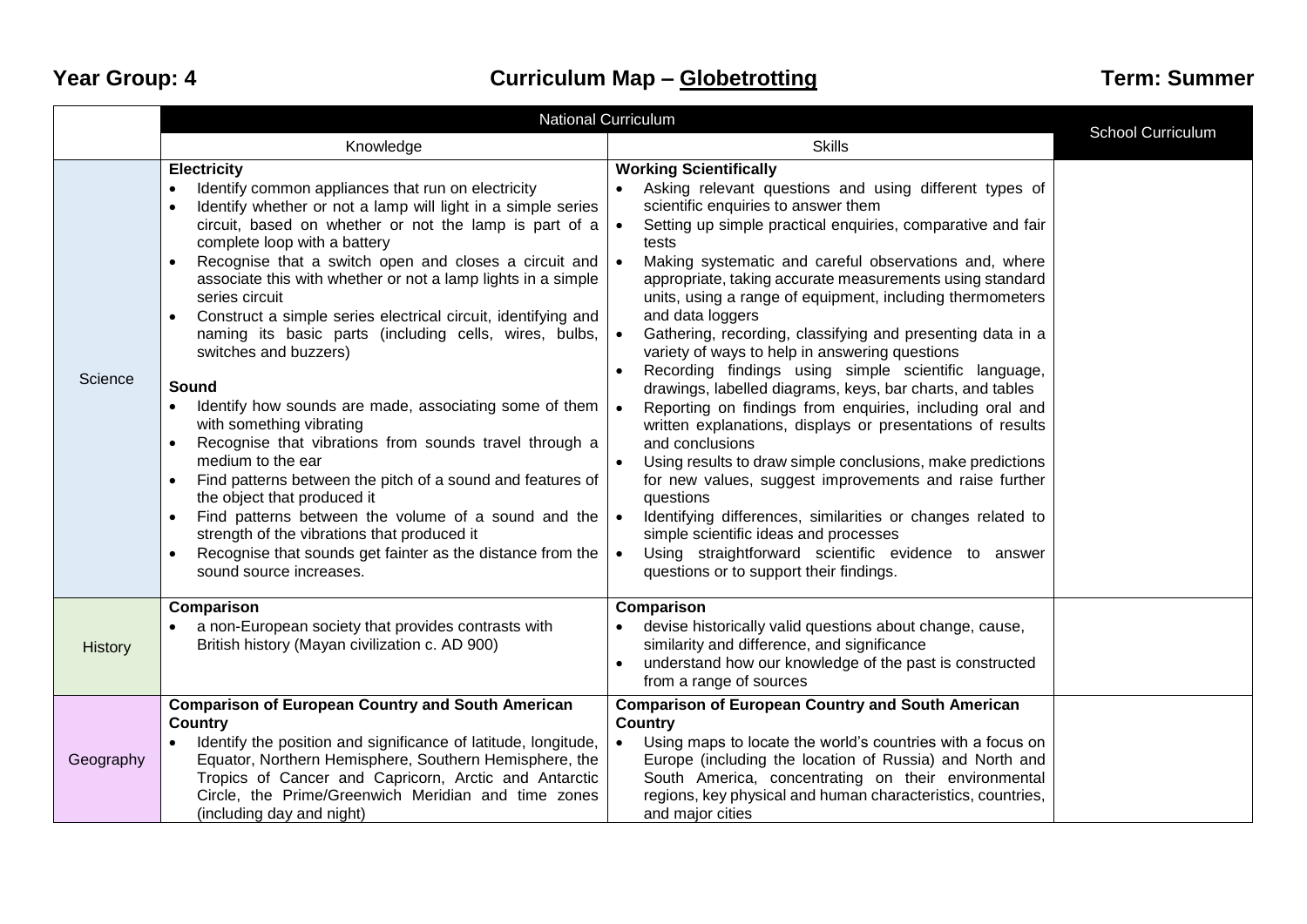|           | <b>National Curriculum</b>                                                                                                                                                                                                                                                                                                                                                                                                                                                                                                                                                                                                                                                                                                                                                                                                                                                                                                                                                                                                                                                                                                       |                                                                                                                                                                                                                                                                                                                                                                                                                                                                                                                                                                                                                                                                                                                                                                                                                                                                                                                                                                                                                                                                                                                                                            |                   |
|-----------|----------------------------------------------------------------------------------------------------------------------------------------------------------------------------------------------------------------------------------------------------------------------------------------------------------------------------------------------------------------------------------------------------------------------------------------------------------------------------------------------------------------------------------------------------------------------------------------------------------------------------------------------------------------------------------------------------------------------------------------------------------------------------------------------------------------------------------------------------------------------------------------------------------------------------------------------------------------------------------------------------------------------------------------------------------------------------------------------------------------------------------|------------------------------------------------------------------------------------------------------------------------------------------------------------------------------------------------------------------------------------------------------------------------------------------------------------------------------------------------------------------------------------------------------------------------------------------------------------------------------------------------------------------------------------------------------------------------------------------------------------------------------------------------------------------------------------------------------------------------------------------------------------------------------------------------------------------------------------------------------------------------------------------------------------------------------------------------------------------------------------------------------------------------------------------------------------------------------------------------------------------------------------------------------------|-------------------|
|           | Knowledge                                                                                                                                                                                                                                                                                                                                                                                                                                                                                                                                                                                                                                                                                                                                                                                                                                                                                                                                                                                                                                                                                                                        | <b>Skills</b>                                                                                                                                                                                                                                                                                                                                                                                                                                                                                                                                                                                                                                                                                                                                                                                                                                                                                                                                                                                                                                                                                                                                              | School Curriculum |
| Science   | <b>Electricity</b><br>Identify common appliances that run on electricity<br>$\bullet$<br>Identify whether or not a lamp will light in a simple series<br>$\bullet$<br>circuit, based on whether or not the lamp is part of a<br>complete loop with a battery<br>Recognise that a switch open and closes a circuit and<br>$\bullet$<br>associate this with whether or not a lamp lights in a simple<br>series circuit<br>Construct a simple series electrical circuit, identifying and<br>$\bullet$<br>naming its basic parts (including cells, wires, bulbs,<br>switches and buzzers)<br>Sound<br>Identify how sounds are made, associating some of them<br>$\bullet$<br>with something vibrating<br>Recognise that vibrations from sounds travel through a<br>$\bullet$<br>medium to the ear<br>Find patterns between the pitch of a sound and features of<br>$\bullet$<br>the object that produced it<br>Find patterns between the volume of a sound and the<br>$\bullet$<br>strength of the vibrations that produced it<br>Recognise that sounds get fainter as the distance from the<br>$\bullet$<br>sound source increases. | <b>Working Scientifically</b><br>Asking relevant questions and using different types of<br>scientific enquiries to answer them<br>Setting up simple practical enquiries, comparative and fair<br>tests<br>Making systematic and careful observations and, where<br>appropriate, taking accurate measurements using standard<br>units, using a range of equipment, including thermometers<br>and data loggers<br>Gathering, recording, classifying and presenting data in a<br>variety of ways to help in answering questions<br>Recording findings using simple scientific language,<br>drawings, labelled diagrams, keys, bar charts, and tables<br>Reporting on findings from enquiries, including oral and<br>written explanations, displays or presentations of results<br>and conclusions<br>Using results to draw simple conclusions, make predictions<br>for new values, suggest improvements and raise further<br>questions<br>Identifying differences, similarities or changes related to<br>$\bullet$<br>simple scientific ideas and processes<br>Using straightforward scientific evidence to answer<br>questions or to support their findings. |                   |
| History   | Comparison<br>a non-European society that provides contrasts with<br>$\bullet$<br>British history (Mayan civilization c. AD 900)                                                                                                                                                                                                                                                                                                                                                                                                                                                                                                                                                                                                                                                                                                                                                                                                                                                                                                                                                                                                 | <b>Comparison</b><br>devise historically valid questions about change, cause,<br>similarity and difference, and significance<br>understand how our knowledge of the past is constructed<br>from a range of sources                                                                                                                                                                                                                                                                                                                                                                                                                                                                                                                                                                                                                                                                                                                                                                                                                                                                                                                                         |                   |
| Geography | <b>Comparison of European Country and South American</b><br><b>Country</b><br>Identify the position and significance of latitude, longitude,<br>$\bullet$<br>Equator, Northern Hemisphere, Southern Hemisphere, the<br>Tropics of Cancer and Capricorn, Arctic and Antarctic<br>Circle, the Prime/Greenwich Meridian and time zones<br>(including day and night)                                                                                                                                                                                                                                                                                                                                                                                                                                                                                                                                                                                                                                                                                                                                                                 | <b>Comparison of European Country and South American</b><br>Country<br>Using maps to locate the world's countries with a focus on<br>$\bullet$<br>Europe (including the location of Russia) and North and<br>South America, concentrating on their environmental<br>regions, key physical and human characteristics, countries,<br>and major cities                                                                                                                                                                                                                                                                                                                                                                                                                                                                                                                                                                                                                                                                                                                                                                                                        |                   |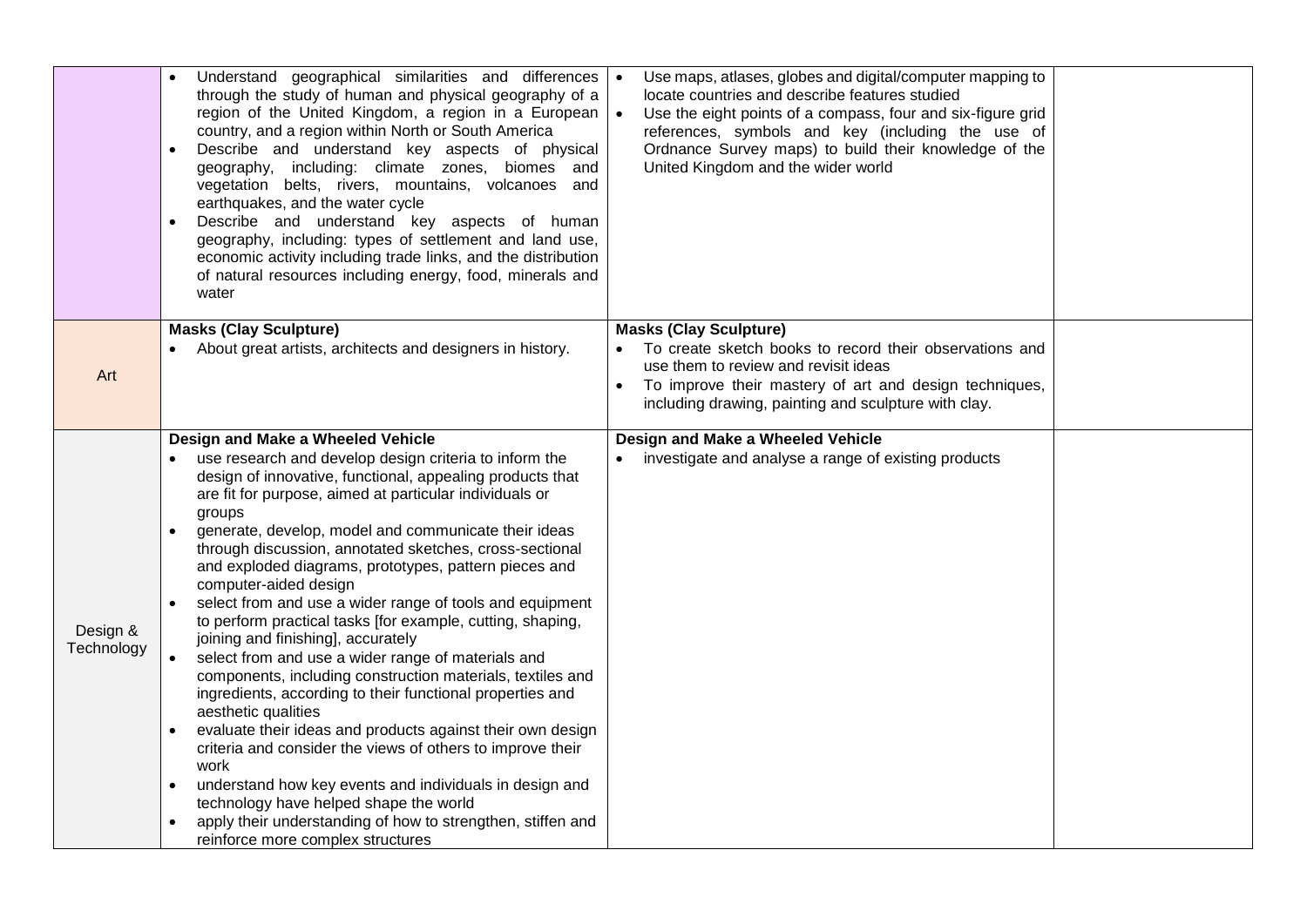|                        | Understand geographical similarities and differences<br>through the study of human and physical geography of a<br>region of the United Kingdom, a region in a European<br>country, and a region within North or South America<br>Describe and understand key aspects of physical<br>geography, including: climate zones, biomes and<br>vegetation belts, rivers, mountains, volcanoes and<br>earthquakes, and the water cycle<br>Describe and understand key aspects of human<br>geography, including: types of settlement and land use,<br>economic activity including trade links, and the distribution<br>of natural resources including energy, food, minerals and<br>water                                                                                                                                                                                                                                                                                                                                                                                                                                                                                                   | Use maps, atlases, globes and digital/computer mapping to<br>$\bullet$<br>locate countries and describe features studied<br>$\bullet$<br>Use the eight points of a compass, four and six-figure grid<br>references, symbols and key (including the use of<br>Ordnance Survey maps) to build their knowledge of the<br>United Kingdom and the wider world |  |
|------------------------|-----------------------------------------------------------------------------------------------------------------------------------------------------------------------------------------------------------------------------------------------------------------------------------------------------------------------------------------------------------------------------------------------------------------------------------------------------------------------------------------------------------------------------------------------------------------------------------------------------------------------------------------------------------------------------------------------------------------------------------------------------------------------------------------------------------------------------------------------------------------------------------------------------------------------------------------------------------------------------------------------------------------------------------------------------------------------------------------------------------------------------------------------------------------------------------|----------------------------------------------------------------------------------------------------------------------------------------------------------------------------------------------------------------------------------------------------------------------------------------------------------------------------------------------------------|--|
| Art                    | <b>Masks (Clay Sculpture)</b><br>About great artists, architects and designers in history.                                                                                                                                                                                                                                                                                                                                                                                                                                                                                                                                                                                                                                                                                                                                                                                                                                                                                                                                                                                                                                                                                        | <b>Masks (Clay Sculpture)</b><br>To create sketch books to record their observations and<br>use them to review and revisit ideas<br>To improve their mastery of art and design techniques,<br>including drawing, painting and sculpture with clay.                                                                                                       |  |
| Design &<br>Technology | Design and Make a Wheeled Vehicle<br>use research and develop design criteria to inform the<br>design of innovative, functional, appealing products that<br>are fit for purpose, aimed at particular individuals or<br>groups<br>generate, develop, model and communicate their ideas<br>through discussion, annotated sketches, cross-sectional<br>and exploded diagrams, prototypes, pattern pieces and<br>computer-aided design<br>select from and use a wider range of tools and equipment<br>to perform practical tasks [for example, cutting, shaping,<br>joining and finishing], accurately<br>select from and use a wider range of materials and<br>$\bullet$<br>components, including construction materials, textiles and<br>ingredients, according to their functional properties and<br>aesthetic qualities<br>evaluate their ideas and products against their own design<br>criteria and consider the views of others to improve their<br>work<br>understand how key events and individuals in design and<br>$\bullet$<br>technology have helped shape the world<br>apply their understanding of how to strengthen, stiffen and<br>reinforce more complex structures | Design and Make a Wheeled Vehicle<br>investigate and analyse a range of existing products                                                                                                                                                                                                                                                                |  |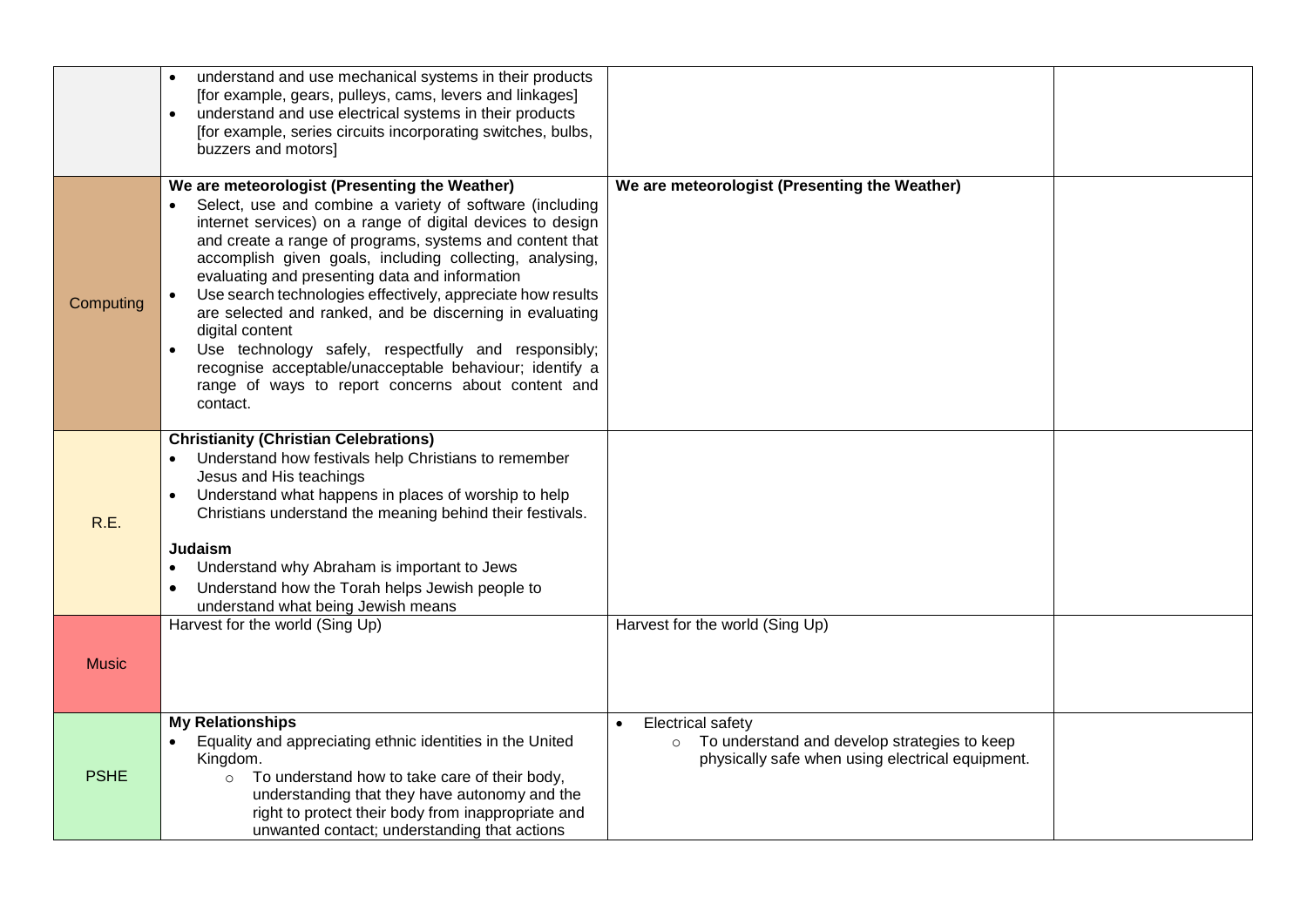|              | understand and use mechanical systems in their products<br>[for example, gears, pulleys, cams, levers and linkages]<br>understand and use electrical systems in their products<br>$\bullet$<br>[for example, series circuits incorporating switches, bulbs,<br>buzzers and motors]                                                                                                                                                                                                                                                                                                                                                                                                   |                                                                                                                                |  |
|--------------|--------------------------------------------------------------------------------------------------------------------------------------------------------------------------------------------------------------------------------------------------------------------------------------------------------------------------------------------------------------------------------------------------------------------------------------------------------------------------------------------------------------------------------------------------------------------------------------------------------------------------------------------------------------------------------------|--------------------------------------------------------------------------------------------------------------------------------|--|
| Computing    | We are meteorologist (Presenting the Weather)<br>Select, use and combine a variety of software (including<br>internet services) on a range of digital devices to design<br>and create a range of programs, systems and content that<br>accomplish given goals, including collecting, analysing,<br>evaluating and presenting data and information<br>Use search technologies effectively, appreciate how results<br>are selected and ranked, and be discerning in evaluating<br>digital content<br>Use technology safely, respectfully and responsibly;<br>recognise acceptable/unacceptable behaviour; identify a<br>range of ways to report concerns about content and<br>contact. | We are meteorologist (Presenting the Weather)                                                                                  |  |
| R.E.         | <b>Christianity (Christian Celebrations)</b><br>Understand how festivals help Christians to remember<br>Jesus and His teachings<br>Understand what happens in places of worship to help<br>Christians understand the meaning behind their festivals.<br><b>Judaism</b><br>Understand why Abraham is important to Jews<br>Understand how the Torah helps Jewish people to<br>understand what being Jewish means                                                                                                                                                                                                                                                                       |                                                                                                                                |  |
| <b>Music</b> | Harvest for the world (Sing Up)                                                                                                                                                                                                                                                                                                                                                                                                                                                                                                                                                                                                                                                      | Harvest for the world (Sing Up)                                                                                                |  |
| <b>PSHE</b>  | <b>My Relationships</b><br>Equality and appreciating ethnic identities in the United<br>Kingdom.<br>To understand how to take care of their body,<br>$\circ$<br>understanding that they have autonomy and the<br>right to protect their body from inappropriate and<br>unwanted contact; understanding that actions                                                                                                                                                                                                                                                                                                                                                                  | <b>Electrical safety</b><br>o To understand and develop strategies to keep<br>physically safe when using electrical equipment. |  |